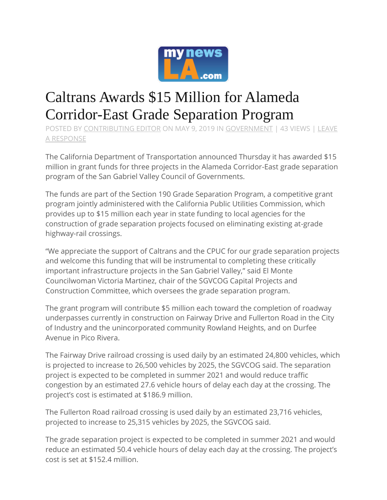

## Caltrans Awards \$15 Million for Alameda Corridor-East Grade Separation Program

POSTED BY [CONTRIBUTING EDITOR](https://mynewsla.com/author/contributing-editor/) ON MAY 9, 2019 IN [GOVERNMENT](https://mynewsla.com/category/government/) | 43 VIEWS | LEAVE [A RESPONSE](https://mynewsla.com/government/2019/05/09/caltrans-awards-15-million-for-alameda-corridor-east-grade-separation-program/#respond)

The California Department of Transportation announced Thursday it has awarded \$15 million in grant funds for three projects in the Alameda Corridor-East grade separation program of the San Gabriel Valley Council of Governments.

The funds are part of the Section 190 Grade Separation Program, a competitive grant program jointly administered with the California Public Utilities Commission, which provides up to \$15 million each year in state funding to local agencies for the construction of grade separation projects focused on eliminating existing at-grade highway-rail crossings.

"We appreciate the support of Caltrans and the CPUC for our grade separation projects and welcome this funding that will be instrumental to completing these critically important infrastructure projects in the San Gabriel Valley," said El Monte Councilwoman Victoria Martinez, chair of the SGVCOG Capital Projects and Construction Committee, which oversees the grade separation program.

The grant program will contribute \$5 million each toward the completion of roadway underpasses currently in construction on Fairway Drive and Fullerton Road in the City of Industry and the unincorporated community Rowland Heights, and on Durfee Avenue in Pico Rivera.

The Fairway Drive railroad crossing is used daily by an estimated 24,800 vehicles, which is projected to increase to 26,500 vehicles by 2025, the SGVCOG said. The separation project is expected to be completed in summer 2021 and would reduce traffic congestion by an estimated 27.6 vehicle hours of delay each day at the crossing. The project's cost is estimated at \$186.9 million.

The Fullerton Road railroad crossing is used daily by an estimated 23,716 vehicles, projected to increase to 25,315 vehicles by 2025, the SGVCOG said.

The grade separation project is expected to be completed in summer 2021 and would reduce an estimated 50.4 vehicle hours of delay each day at the crossing. The project's cost is set at \$152.4 million.